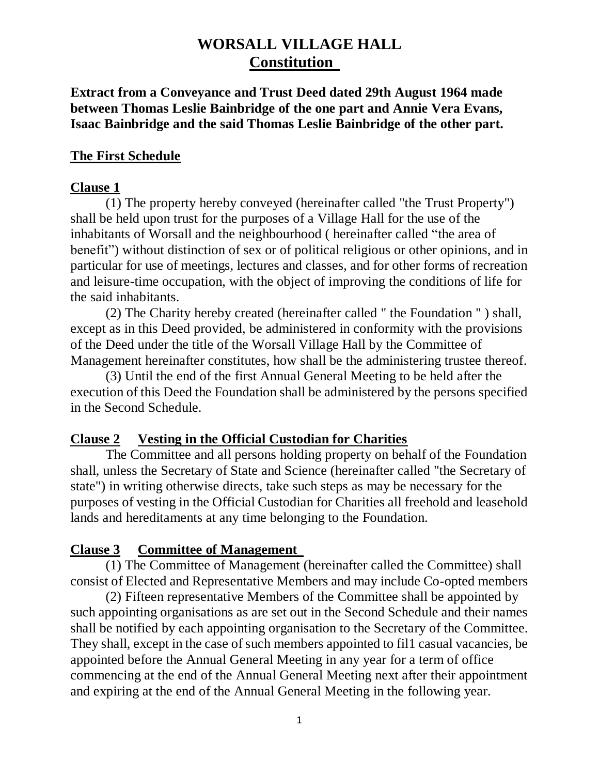**Extract from a Conveyance and Trust Deed dated 29th August 1964 made between Thomas Leslie Bainbridge of the one part and Annie Vera Evans, Isaac Bainbridge and the said Thomas Leslie Bainbridge of the other part.**

#### **The First Schedule**

#### **Clause 1**

(1) The property hereby conveyed (hereinafter called "the Trust Property") shall be held upon trust for the purposes of a Village Hall for the use of the inhabitants of Worsall and the neighbourhood ( hereinafter called "the area of benefit") without distinction of sex or of political religious or other opinions, and in particular for use of meetings, lectures and classes, and for other forms of recreation and leisure-time occupation, with the object of improving the conditions of life for the said inhabitants.

 (2) The Charity hereby created (hereinafter called " the Foundation " ) shall, except as in this Deed provided, be administered in conformity with the provisions of the Deed under the title of the Worsall Village Hall by the Committee of Management hereinafter constitutes, how shall be the administering trustee thereof.

 (3) Until the end of the first Annual General Meeting to be held after the execution of this Deed the Foundation shall be administered by the persons specified in the Second Schedule.

#### **Clause 2 Vesting in the Official Custodian for Charities**

The Committee and all persons holding property on behalf of the Foundation shall, unless the Secretary of State and Science (hereinafter called "the Secretary of state") in writing otherwise directs, take such steps as may be necessary for the purposes of vesting in the Official Custodian for Charities all freehold and leasehold lands and hereditaments at any time belonging to the Foundation.

#### **Clause 3 Committee of Management**

(1) The Committee of Management (hereinafter called the Committee) shall consist of Elected and Representative Members and may include Co-opted members

(2) Fifteen representative Members of the Committee shall be appointed by such appointing organisations as are set out in the Second Schedule and their names shall be notified by each appointing organisation to the Secretary of the Committee. They shall, except in the case of such members appointed to fil1 casual vacancies, be appointed before the Annual General Meeting in any year for a term of office commencing at the end of the Annual General Meeting next after their appointment and expiring at the end of the Annual General Meeting in the following year.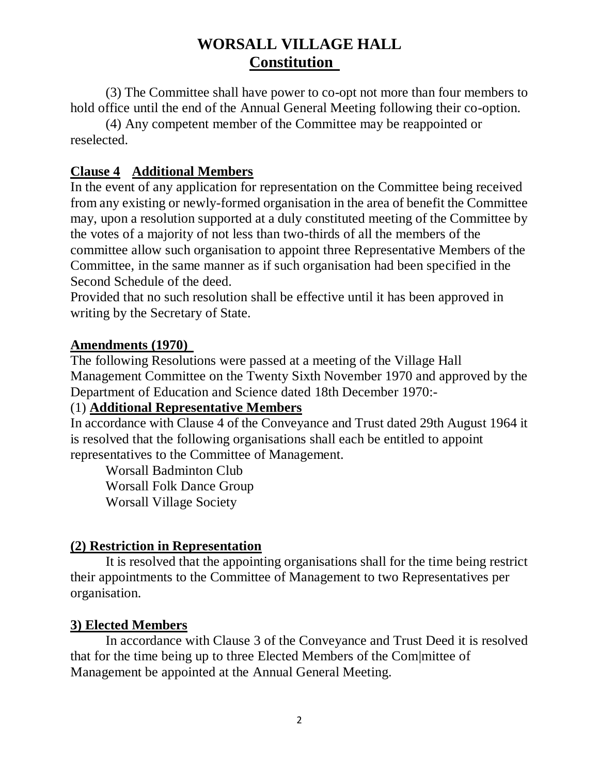(3) The Committee shall have power to co-opt not more than four members to hold office until the end of the Annual General Meeting following their co-option.

(4) Any competent member of the Committee may be reappointed or reselected.

## **Clause 4 Additional Members**

In the event of any application for representation on the Committee being received from any existing or newly-formed organisation in the area of benefit the Committee may, upon a resolution supported at a duly constituted meeting of the Committee by the votes of a majority of not less than two-thirds of all the members of the committee allow such organisation to appoint three Representative Members of the Committee, in the same manner as if such organisation had been specified in the Second Schedule of the deed.

Provided that no such resolution shall be effective until it has been approved in writing by the Secretary of State.

#### **Amendments (1970)**

The following Resolutions were passed at a meeting of the Village Hall Management Committee on the Twenty Sixth November 1970 and approved by the Department of Education and Science dated 18th December 1970:-

## (1) **Additional Representative Members**

In accordance with Clause 4 of the Conveyance and Trust dated 29th August 1964 it is resolved that the following organisations shall each be entitled to appoint representatives to the Committee of Management.

Worsall Badminton Club Worsall Folk Dance Group Worsall Village Society

## **(2) Restriction in Representation**

It is resolved that the appointing organisations shall for the time being restrict their appointments to the Committee of Management to two Representatives per organisation.

#### **3) Elected Members**

In accordance with Clause 3 of the Conveyance and Trust Deed it is resolved that for the time being up to three Elected Members of the Com|mittee of Management be appointed at the Annual General Meeting.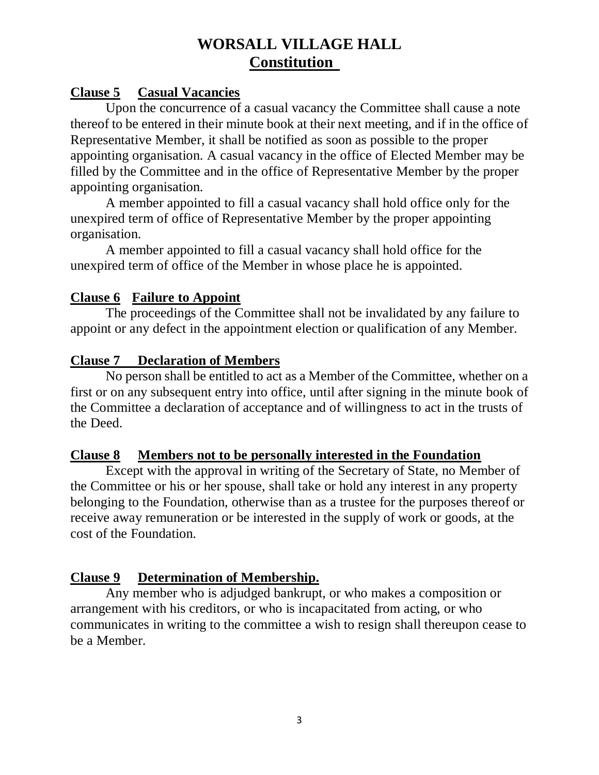## **Clause 5 Casual Vacancies**

Upon the concurrence of a casual vacancy the Committee shall cause a note thereof to be entered in their minute book at their next meeting, and if in the office of Representative Member, it shall be notified as soon as possible to the proper appointing organisation. A casual vacancy in the office of Elected Member may be filled by the Committee and in the office of Representative Member by the proper appointing organisation.

A member appointed to fill a casual vacancy shall hold office only for the unexpired term of office of Representative Member by the proper appointing organisation.

A member appointed to fill a casual vacancy shall hold office for the unexpired term of office of the Member in whose place he is appointed.

### **Clause 6 Failure to Appoint**

The proceedings of the Committee shall not be invalidated by any failure to appoint or any defect in the appointment election or qualification of any Member.

### **Clause 7 Declaration of Members**

No person shall be entitled to act as a Member of the Committee, whether on a first or on any subsequent entry into office, until after signing in the minute book of the Committee a declaration of acceptance and of willingness to act in the trusts of the Deed.

#### **Clause 8 Members not to be personally interested in the Foundation**

Except with the approval in writing of the Secretary of State, no Member of the Committee or his or her spouse, shall take or hold any interest in any property belonging to the Foundation, otherwise than as a trustee for the purposes thereof or receive away remuneration or be interested in the supply of work or goods, at the cost of the Foundation.

## **Clause 9 Determination of Membership.**

Any member who is adjudged bankrupt, or who makes a composition or arrangement with his creditors, or who is incapacitated from acting, or who communicates in writing to the committee a wish to resign shall thereupon cease to be a Member.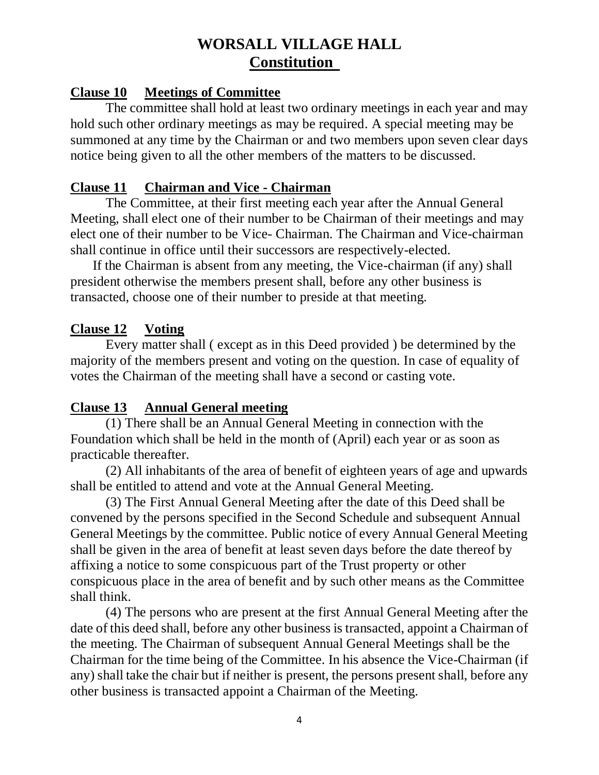#### **Clause 10 Meetings of Committee**

The committee shall hold at least two ordinary meetings in each year and may hold such other ordinary meetings as may be required. A special meeting may be summoned at any time by the Chairman or and two members upon seven clear days notice being given to all the other members of the matters to be discussed.

#### **Clause 11 Chairman and Vice - Chairman**

The Committee, at their first meeting each year after the Annual General Meeting, shall elect one of their number to be Chairman of their meetings and may elect one of their number to be Vice- Chairman. The Chairman and Vice-chairman shall continue in office until their successors are respectively-elected.

 If the Chairman is absent from any meeting, the Vice-chairman (if any) shall president otherwise the members present shall, before any other business is transacted, choose one of their number to preside at that meeting.

#### **Clause 12 Voting**

Every matter shall ( except as in this Deed provided ) be determined by the majority of the members present and voting on the question. In case of equality of votes the Chairman of the meeting shall have a second or casting vote.

#### **Clause 13 Annual General meeting**

(1) There shall be an Annual General Meeting in connection with the Foundation which shall be held in the month of (April) each year or as soon as practicable thereafter.

(2) All inhabitants of the area of benefit of eighteen years of age and upwards shall be entitled to attend and vote at the Annual General Meeting.

(3) The First Annual General Meeting after the date of this Deed shall be convened by the persons specified in the Second Schedule and subsequent Annual General Meetings by the committee. Public notice of every Annual General Meeting shall be given in the area of benefit at least seven days before the date thereof by affixing a notice to some conspicuous part of the Trust property or other conspicuous place in the area of benefit and by such other means as the Committee shall think.

(4) The persons who are present at the first Annual General Meeting after the date of this deed shall, before any other business is transacted, appoint a Chairman of the meeting. The Chairman of subsequent Annual General Meetings shall be the Chairman for the time being of the Committee. In his absence the Vice-Chairman (if any) shall take the chair but if neither is present, the persons present shall, before any other business is transacted appoint a Chairman of the Meeting.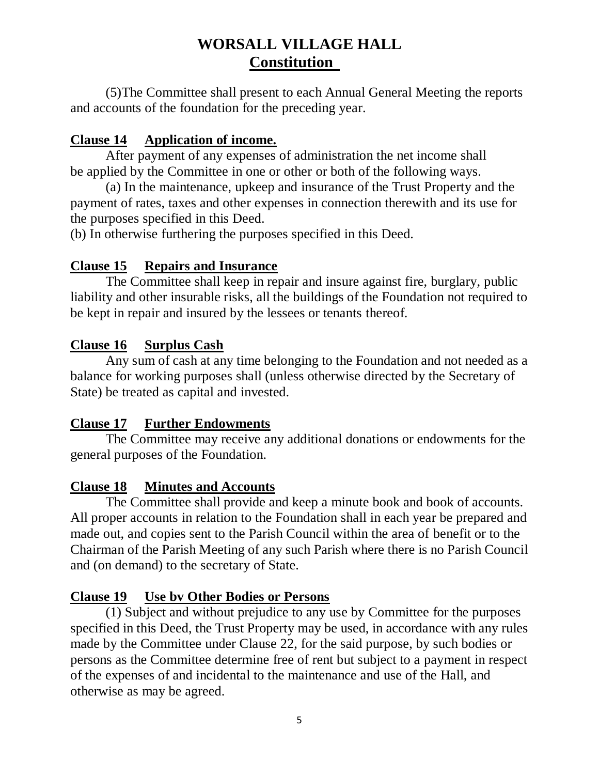(5)The Committee shall present to each Annual General Meeting the reports and accounts of the foundation for the preceding year.

## **Clause 14 Application of income.**

After payment of any expenses of administration the net income shall be applied by the Committee in one or other or both of the following ways.

(a) In the maintenance, upkeep and insurance of the Trust Property and the payment of rates, taxes and other expenses in connection therewith and its use for the purposes specified in this Deed.

(b) In otherwise furthering the purposes specified in this Deed.

### **Clause 15 Repairs and Insurance**

The Committee shall keep in repair and insure against fire, burglary, public liability and other insurable risks, all the buildings of the Foundation not required to be kept in repair and insured by the lessees or tenants thereof.

### **Clause 16 Surplus Cash**

Any sum of cash at any time belonging to the Foundation and not needed as a balance for working purposes shall (unless otherwise directed by the Secretary of State) be treated as capital and invested.

#### **Clause 17 Further Endowments**

The Committee may receive any additional donations or endowments for the general purposes of the Foundation.

## **Clause 18 Minutes and Accounts**

The Committee shall provide and keep a minute book and book of accounts. All proper accounts in relation to the Foundation shall in each year be prepared and made out, and copies sent to the Parish Council within the area of benefit or to the Chairman of the Parish Meeting of any such Parish where there is no Parish Council and (on demand) to the secretary of State.

#### **Clause 19 Use bv Other Bodies or Persons**

(1) Subject and without prejudice to any use by Committee for the purposes specified in this Deed, the Trust Property may be used, in accordance with any rules made by the Committee under Clause 22, for the said purpose, by such bodies or persons as the Committee determine free of rent but subject to a payment in respect of the expenses of and incidental to the maintenance and use of the Hall, and otherwise as may be agreed.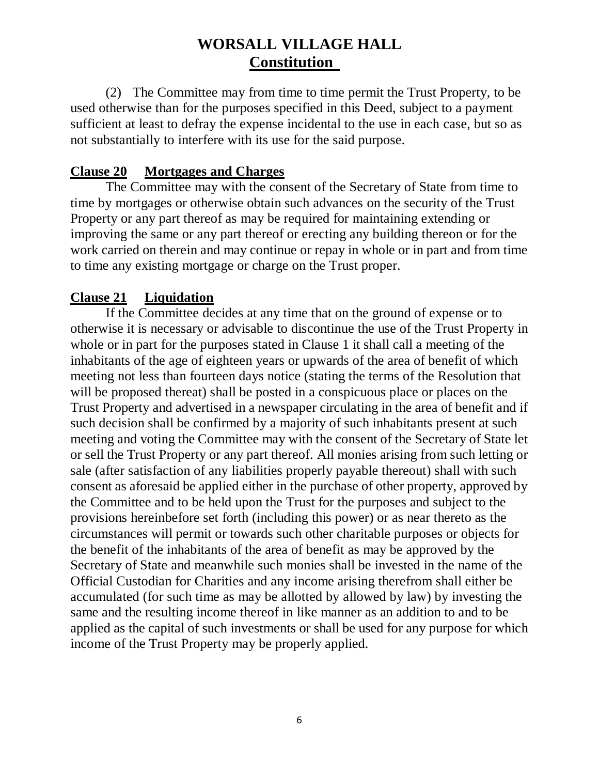(2) The Committee may from time to time permit the Trust Property, to be used otherwise than for the purposes specified in this Deed, subject to a payment sufficient at least to defray the expense incidental to the use in each case, but so as not substantially to interfere with its use for the said purpose.

### **Clause 20 Mortgages and Charges**

The Committee may with the consent of the Secretary of State from time to time by mortgages or otherwise obtain such advances on the security of the Trust Property or any part thereof as may be required for maintaining extending or improving the same or any part thereof or erecting any building thereon or for the work carried on therein and may continue or repay in whole or in part and from time to time any existing mortgage or charge on the Trust proper.

## **Clause 21 Liquidation**

If the Committee decides at any time that on the ground of expense or to otherwise it is necessary or advisable to discontinue the use of the Trust Property in whole or in part for the purposes stated in Clause 1 it shall call a meeting of the inhabitants of the age of eighteen years or upwards of the area of benefit of which meeting not less than fourteen days notice (stating the terms of the Resolution that will be proposed thereat) shall be posted in a conspicuous place or places on the Trust Property and advertised in a newspaper circulating in the area of benefit and if such decision shall be confirmed by a majority of such inhabitants present at such meeting and voting the Committee may with the consent of the Secretary of State let or sell the Trust Property or any part thereof. All monies arising from such letting or sale (after satisfaction of any liabilities properly payable thereout) shall with such consent as aforesaid be applied either in the purchase of other property, approved by the Committee and to be held upon the Trust for the purposes and subject to the provisions hereinbefore set forth (including this power) or as near thereto as the circumstances will permit or towards such other charitable purposes or objects for the benefit of the inhabitants of the area of benefit as may be approved by the Secretary of State and meanwhile such monies shall be invested in the name of the Official Custodian for Charities and any income arising therefrom shall either be accumulated (for such time as may be allotted by allowed by law) by investing the same and the resulting income thereof in like manner as an addition to and to be applied as the capital of such investments or shall be used for any purpose for which income of the Trust Property may be properly applied.